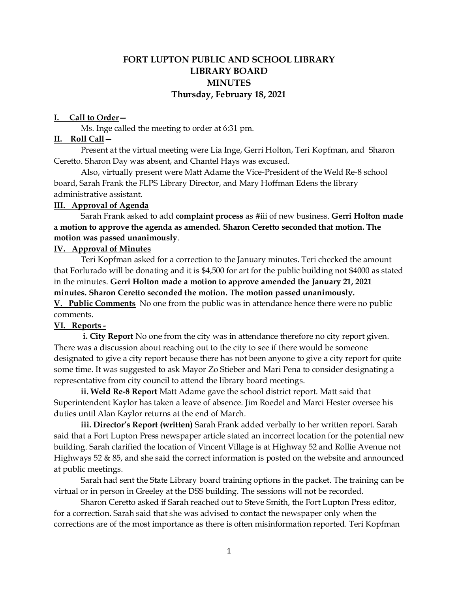# **FORT LUPTON PUBLIC AND SCHOOL LIBRARY LIBRARY BOARD MINUTES Thursday, February 18, 2021**

### **I. Call to Order—**

Ms. Inge called the meeting to order at 6:31 pm.

#### **II. Roll Call—**

Present at the virtual meeting were Lia Inge, Gerri Holton, Teri Kopfman, and Sharon Ceretto. Sharon Day was absent, and Chantel Hays was excused.

Also, virtually present were Matt Adame the Vice-President of the Weld Re-8 school board, Sarah Frank the FLPS Library Director, and Mary Hoffman Edens the library administrative assistant.

### **III. Approval of Agenda**

Sarah Frank asked to add **complaint process** as #iii of new business. **Gerri Holton made a motion to approve the agenda as amended. Sharon Ceretto seconded that motion. The motion was passed unanimously**.

### **IV. Approval of Minutes**

Teri Kopfman asked for a correction to the January minutes. Teri checked the amount that Forlurado will be donating and it is \$4,500 for art for the public building not \$4000 as stated in the minutes. **Gerri Holton made a motion to approve amended the January 21, 2021 minutes. Sharon Ceretto seconded the motion. The motion passed unanimously. V. Public Comments** No one from the public was in attendance hence there were no public comments.

### **VI. Reports -**

 **i. City Report** No one from the city was in attendance therefore no city report given. There was a discussion about reaching out to the city to see if there would be someone designated to give a city report because there has not been anyone to give a city report for quite some time. It was suggested to ask Mayor Zo Stieber and Mari Pena to consider designating a representative from city council to attend the library board meetings.

**ii. Weld Re-8 Report** Matt Adame gave the school district report. Matt said that Superintendent Kaylor has taken a leave of absence. Jim Roedel and Marci Hester oversee his duties until Alan Kaylor returns at the end of March.

**iii. Director's Report (written)** Sarah Frank added verbally to her written report. Sarah said that a Fort Lupton Press newspaper article stated an incorrect location for the potential new building. Sarah clarified the location of Vincent Village is at Highway 52 and Rollie Avenue not Highways 52  $\&$  85, and she said the correct information is posted on the website and announced at public meetings.

Sarah had sent the State Library board training options in the packet. The training can be virtual or in person in Greeley at the DSS building. The sessions will not be recorded.

Sharon Ceretto asked if Sarah reached out to Steve Smith, the Fort Lupton Press editor, for a correction. Sarah said that she was advised to contact the newspaper only when the corrections are of the most importance as there is often misinformation reported. Teri Kopfman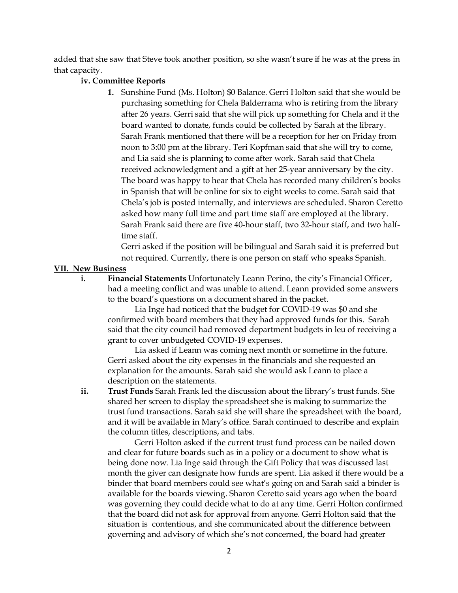added that she saw that Steve took another position, so she wasn't sure if he was at the press in that capacity.

### **iv. Committee Reports**

**1.** Sunshine Fund (Ms. Holton) \$0 Balance. Gerri Holton said that she would be purchasing something for Chela Balderrama who is retiring from the library after 26 years. Gerri said that she will pick up something for Chela and it the board wanted to donate, funds could be collected by Sarah at the library. Sarah Frank mentioned that there will be a reception for her on Friday from noon to 3:00 pm at the library. Teri Kopfman said that she will try to come, and Lia said she is planning to come after work. Sarah said that Chela received acknowledgment and a gift at her 25-year anniversary by the city. The board was happy to hear that Chela has recorded many children's books in Spanish that will be online for six to eight weeks to come. Sarah said that Chela's job is posted internally, and interviews are scheduled. Sharon Ceretto asked how many full time and part time staff are employed at the library. Sarah Frank said there are five 40-hour staff, two 32-hour staff, and two halftime staff.

Gerri asked if the position will be bilingual and Sarah said it is preferred but not required. Currently, there is one person on staff who speaks Spanish.

### **VII. New Business**

**i. Financial Statements** Unfortunately Leann Perino, the city's Financial Officer, had a meeting conflict and was unable to attend. Leann provided some answers to the board's questions on a document shared in the packet.

Lia Inge had noticed that the budget for COVID-19 was \$0 and she confirmed with board members that they had approved funds for this. Sarah said that the city council had removed department budgets in leu of receiving a grant to cover unbudgeted COVID-19 expenses.

Lia asked if Leann was coming next month or sometime in the future. Gerri asked about the city expenses in the financials and she requested an explanation for the amounts. Sarah said she would ask Leann to place a description on the statements.

**ii. Trust Funds** Sarah Frank led the discussion about the library's trust funds. She shared her screen to display the spreadsheet she is making to summarize the trust fund transactions. Sarah said she will share the spreadsheet with the board, and it will be available in Mary's office. Sarah continued to describe and explain the column titles, descriptions, and tabs.

Gerri Holton asked if the current trust fund process can be nailed down and clear for future boards such as in a policy or a document to show what is being done now. Lia Inge said through the Gift Policy that was discussed last month the giver can designate how funds are spent. Lia asked if there would be a binder that board members could see what's going on and Sarah said a binder is available for the boards viewing. Sharon Ceretto said years ago when the board was governing they could decide what to do at any time. Gerri Holton confirmed that the board did not ask for approval from anyone. Gerri Holton said that the situation is contentious, and she communicated about the difference between governing and advisory of which she's not concerned, the board had greater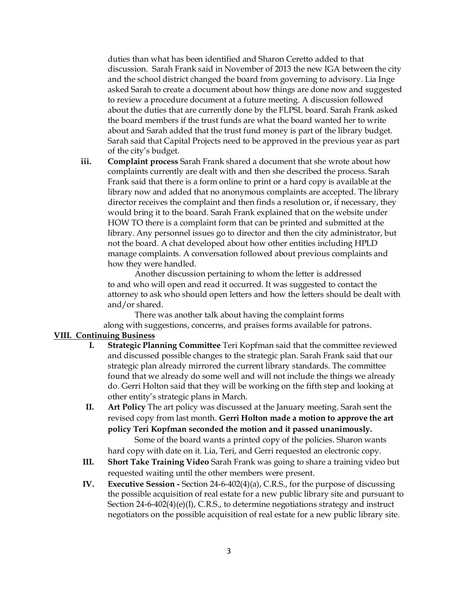duties than what has been identified and Sharon Ceretto added to that discussion. Sarah Frank said in November of 2013 the new IGA between the city and the school district changed the board from governing to advisory. Lia Inge asked Sarah to create a document about how things are done now and suggested to review a procedure document at a future meeting. A discussion followed about the duties that are currently done by the FLPSL board. Sarah Frank asked the board members if the trust funds are what the board wanted her to write about and Sarah added that the trust fund money is part of the library budget. Sarah said that Capital Projects need to be approved in the previous year as part of the city's budget.

**iii. Complaint process** Sarah Frank shared a document that she wrote about how complaints currently are dealt with and then she described the process. Sarah Frank said that there is a form online to print or a hard copy is available at the library now and added that no anonymous complaints are accepted. The library director receives the complaint and then finds a resolution or, if necessary, they would bring it to the board. Sarah Frank explained that on the website under HOW TO there is a complaint form that can be printed and submitted at the library. Any personnel issues go to director and then the city administrator, but not the board. A chat developed about how other entities including HPLD manage complaints. A conversation followed about previous complaints and how they were handled.

Another discussion pertaining to whom the letter is addressed to and who will open and read it occurred. It was suggested to contact the attorney to ask who should open letters and how the letters should be dealt with and/or shared.

There was another talk about having the complaint forms along with suggestions, concerns, and praises forms available for patrons.

### **VIII. Continuing Business**

- **I. Strategic Planning Committee** Teri Kopfman said that the committee reviewed and discussed possible changes to the strategic plan. Sarah Frank said that our strategic plan already mirrored the current library standards. The committee found that we already do some well and will not include the things we already do. Gerri Holton said that they will be working on the fifth step and looking at other entity's strategic plans in March.
- **II. Art Policy** The art policy was discussed at the January meeting. Sarah sent the revised copy from last month. **Gerri Holton made a motion to approve the art policy Teri Kopfman seconded the motion and it passed unanimously.**

Some of the board wants a printed copy of the policies. Sharon wants hard copy with date on it. Lia, Teri, and Gerri requested an electronic copy.

- **III. Short Take Training Video** Sarah Frank was going to share a training video but requested waiting until the other members were present.
- **IV. Executive Session -** Section 24-6-402(4)(a), C.R.S., for the purpose of discussing the possible acquisition of real estate for a new public library site and pursuant to Section 24-6-402(4)(e)(I), C.R.S., to determine negotiations strategy and instruct negotiators on the possible acquisition of real estate for a new public library site.